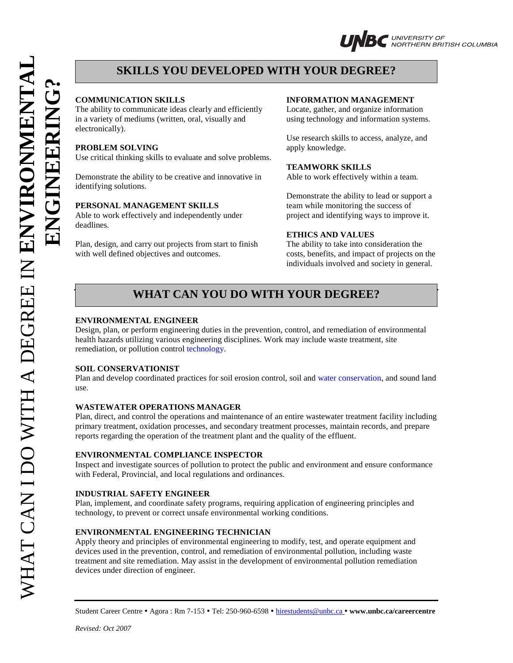**?**



## **SKILLS YOU DEVELOPED WITH YOUR DEGREE?**

The ability to communicate ideas clearly and efficiently Locate, gather, and organize information in a variety of mediums (written, oral, visually and using technology and information systems. electronically).

### **PROBLEM SOLVING** apply knowledge.

Use critical thinking skills to evaluate and solve problems.

Demonstrate the ability to be creative and innovative in Able to work effectively within a team. identifying solutions.

### **PERSONAL MANAGEMENT SKILLS** team while monitoring the success of

Able to work effectively and independently under project and identifying ways to improve it. deadlines. **ENGINEERING**

Plan, design, and carry out projects from start to finish The ability to take into consideration the with well defined objectives and outcomes. costs, benefits, and impact of projects on the

### **COMMUNICATION SKILLS INFORMATION MANAGEMENT**

Use research skills to access, analyze, and

### **TEAMWORK SKILLS**

Demonstrate the ability to lead or support a

### **ETHICS AND VALUES**

individuals involved and society in general.

# **WHAT CAN YOU DO WITH YOUR DEGREE?**

### **ENVIRONMENTAL ENGINEER**

Design, plan, or perform engineering duties in the prevention, control, and remediation of environmental health hazards utilizing various engineering disciplines. Work may include waste treatment, site remediation, or pollution control technology.

### **SOIL CONSERVATIONIST**

Plan and develop coordinated practices for soil erosion control, soil and water conservation, and sound land use.

### **WASTEWATER OPERATIONS MANAGER**

Plan, direct, and control the operations and maintenance of an entire wastewater treatment facility including primary treatment, oxidation processes, and secondary treatment processes, maintain records, and prepare reports regarding the operation of the treatment plant and the quality of the effluent.

### **ENVIRONMENTAL COMPLIANCE INSPECTOR**

Inspect and investigate sources of pollution to protect the public and environment and ensure conformance with Federal, Provincial, and local regulations and ordinances.

### **INDUSTRIAL SAFETY ENGINEER**

Plan, implement, and coordinate safety programs, requiring application of engineering principles and technology, to prevent or correct unsafe environmental working conditions.

### **ENVIRONMENTAL ENGINEERING TECHNICIAN**

Apply theory and principles of environmental engineering to modify, test, and operate equipment and devices used in the prevention, control, and remediation of environmental pollution, including waste treatment and site remediation. May assist in the development of environmental pollution remediation devices under direction of engineer.